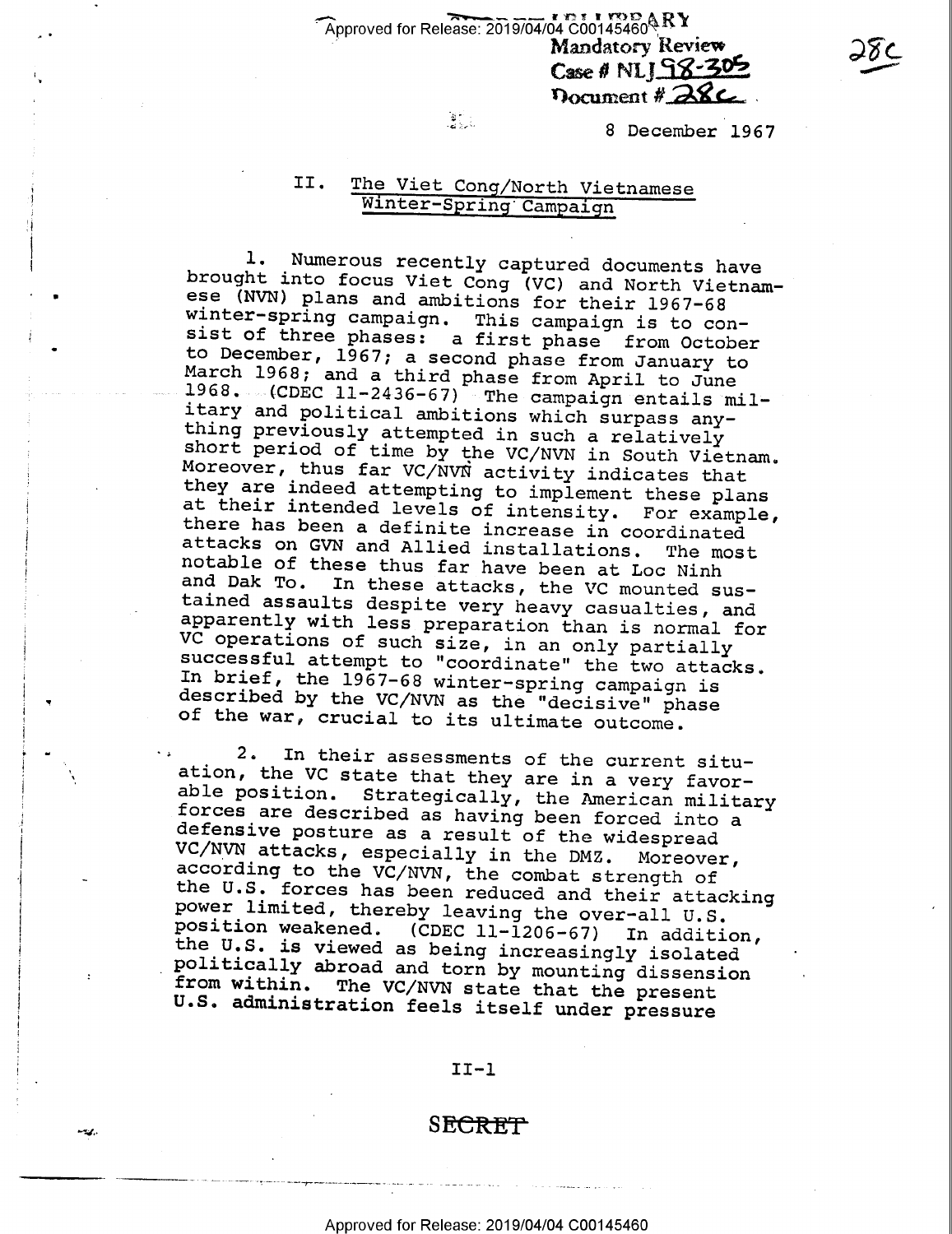Approved for Release: 2019/04/04  $^{12}$  c00145460  $\&$  RY Mandatory Review  $\frac{\partial \delta C}{\partial n}$  $\csc \theta$  NLJ $\frac{S}{S}$ -302

 $\frac{3}{2}$  8 December 1967

Document # 28C

# II. The Viet Cong/North Vietnamese Winter—Spring'Campaign

1. Numerous recently captured documents have<br>brought into focus Viet Cong (VC) and North Vietnam-<br>ese (NVN) plans and ambitions for their 1967-68<br>winter-spring campaign. This campaign is to con-<br>to December, 1967, a second

2. In their assessments of the current situ-<br>ation, the VC state that they are in a very favor-<br>able position. Strategically, the American military<br>forces are described as having been forced into a<br>defensive posture as a r

### II—l

# SECRET<sup>T</sup>

- \_\_» ~--V ».\_.~~~\_\_-\_,\_\_\_.~\_-..-\_-\_-—~-\_~ \_-V ~ ~- ~ —-~-~ -- 4- ~- <sup>7</sup>. Y-~\_~ -- -7 -V

"W"

W

u '

 $\ddot{\phantom{0}}$ 

v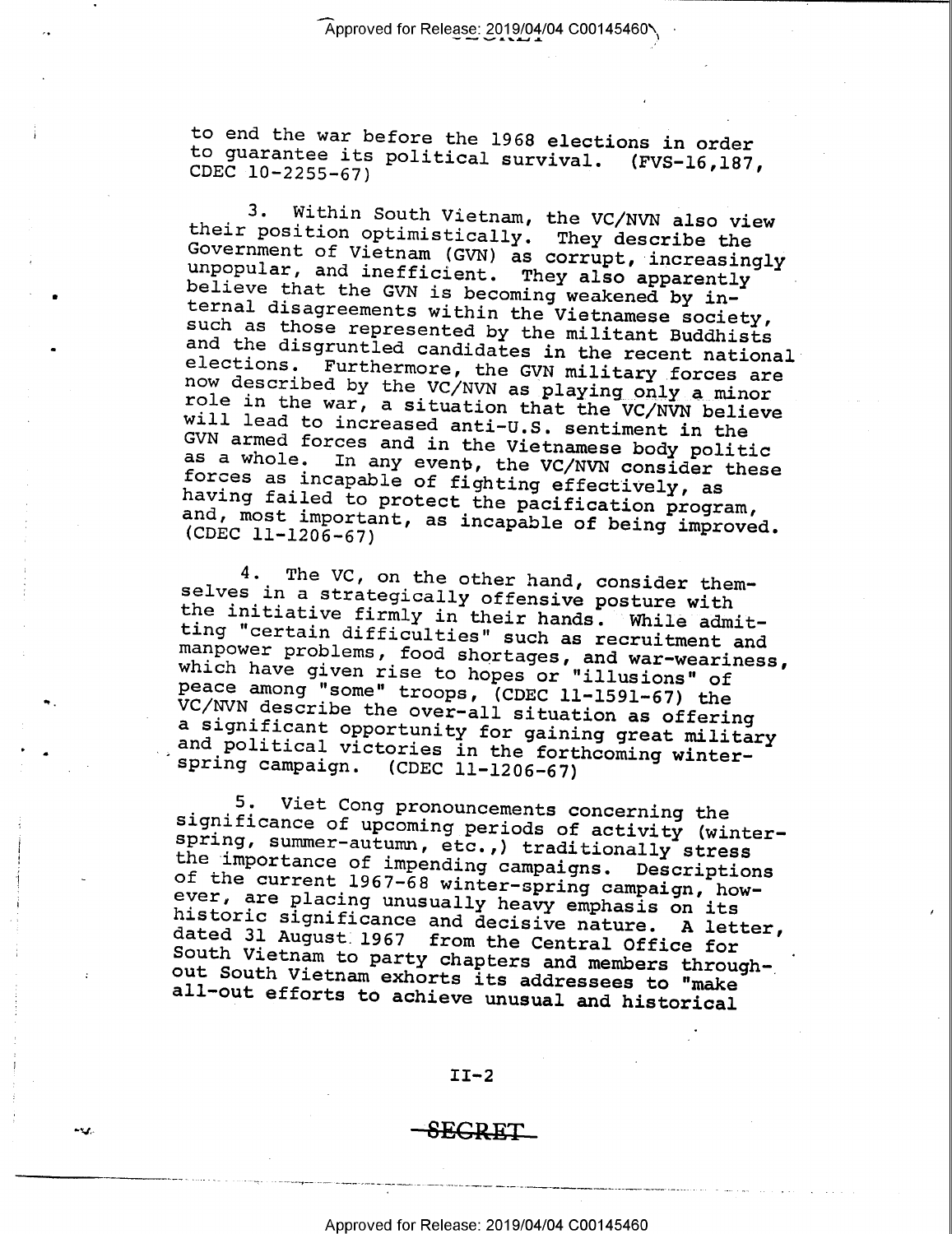to end the war before the 1968 elections in order<br>to guarantee its political survival. (FVS-16,187,<br>CDEC 10-2255-67)

3. Within South Vietnam, the VC/NVN also view<br>their position optimistically. They describe the<br>Government of Vietnam (GVN) as corrupt, increasingly<br>unpopular, and ineficient. They also apparently<br>believe that the GVN is be

4. The VC, on the other hand, consider them-<br>selves in a strategically offensive posture with<br>the initiative firmly in their hands. While admit-<br>ting "certain difficulties" such as recruitment and<br>manpower problems, food

5. Viet Cong pronouncements concerning the<br>significance of upcoming periods of activity (winter-<br>spring, summer-autumn, etc.,) traditionally stress<br>the importance of impending campaigns. Descriptions<br>of the current 1967-68 dated 31 August 1967 from the Central Office for<br>South Vietnam to party chapters and members throughout South Vietnam exhorts its addressees to "make<br>all-out efforts to achieve unusual and historical

#### II-2

# $\operatorname{\mathsf{SEGRET}}$

 $h$  . H  $\mu$  ,  $h$  ,  $h$  . If  $h$  . If  $h$  is a subsequent to the set of the set of the set of the set of the set of the set of the set of the set of the set of the set of the set of the set of the set of the set of the s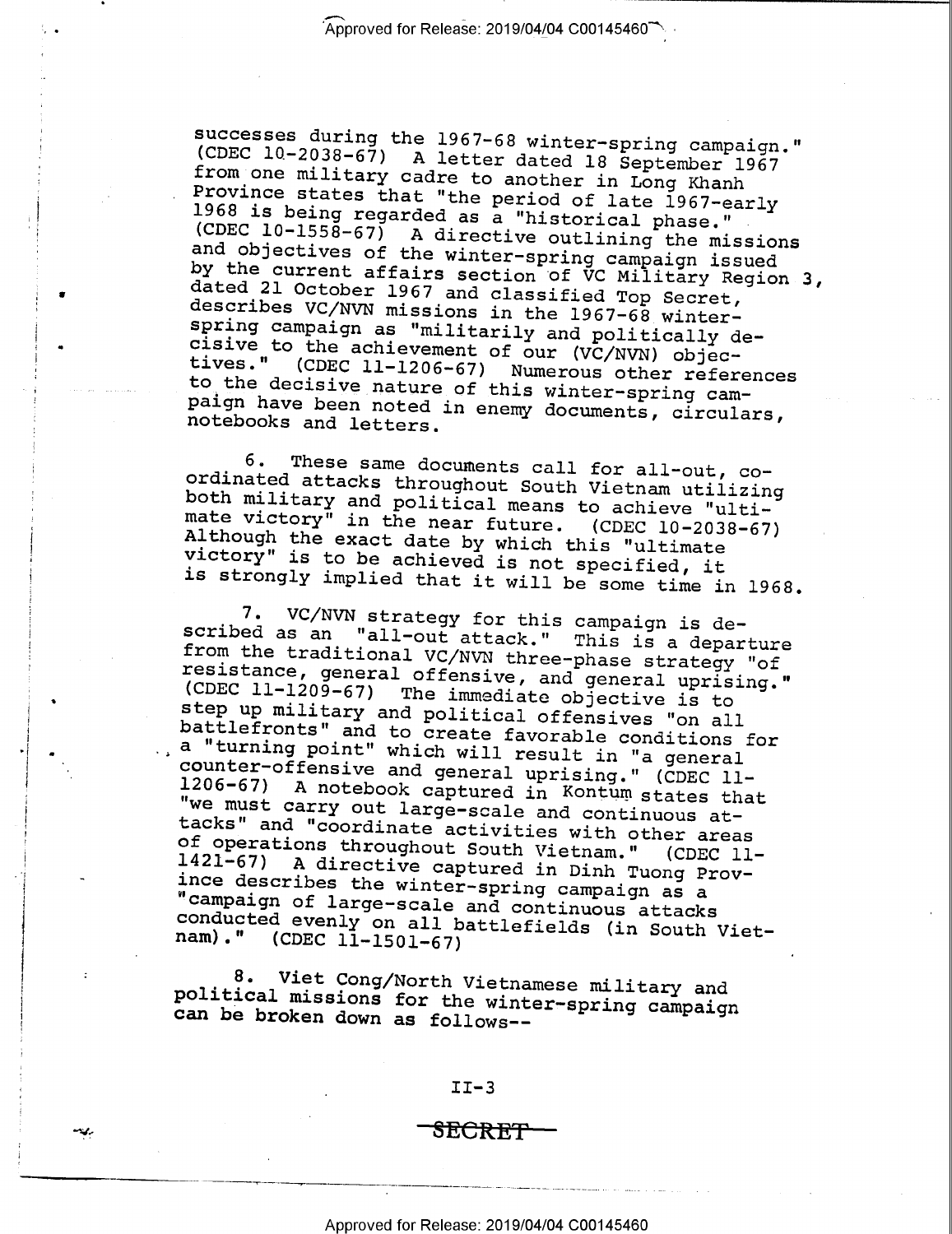Successes during the 1967-68 winter-spring campaign."<br>
(CDEC 10-2038-67) A letter dated 18 September 1967<br>
from one military cadre to another in Long Khanh<br>
Province states that "the period of late 1967-early<br>
1968 is bei

3 4

 $\blacksquare$ 

"33.-

>

6. These same documents call for all-out, co-<br>ordinated attacks throughout South Vietnam utilizing<br>both military and political means to achieve "ulti-<br>mate victory" in the near future. (CDEC 10-2038-67)<br>Although the exact

7. VC/NVN strategy for this campaign is de-<br>scribed as an "all-out attack." This is a departure<br>from the traditional VC/NVN three-phase strategy "of<br>resistance, general offensive, and general uprising."<br>(CDEC 11-1209-67) T Dattle<br>Trans " and to create favorable conditions for<br>a "turning point" which will result in "a general<br>counter-offensive and general uprising." (CDEC 11-<br>1206-67) A notebook captured in Kontum states that<br>"we must carry o

8. Viet Cong/North Vietnamese military and political missions for the winter—spring campaign can be broken down as follows——

 $II-3$ 

\_ \_,\_ \_ \_\_\_ \_.\_...\_\_\_ -I W-..\_\_\_' .»..\_\_..\_\_.. . <sup>I</sup>»-W7

<del>SECRET</del>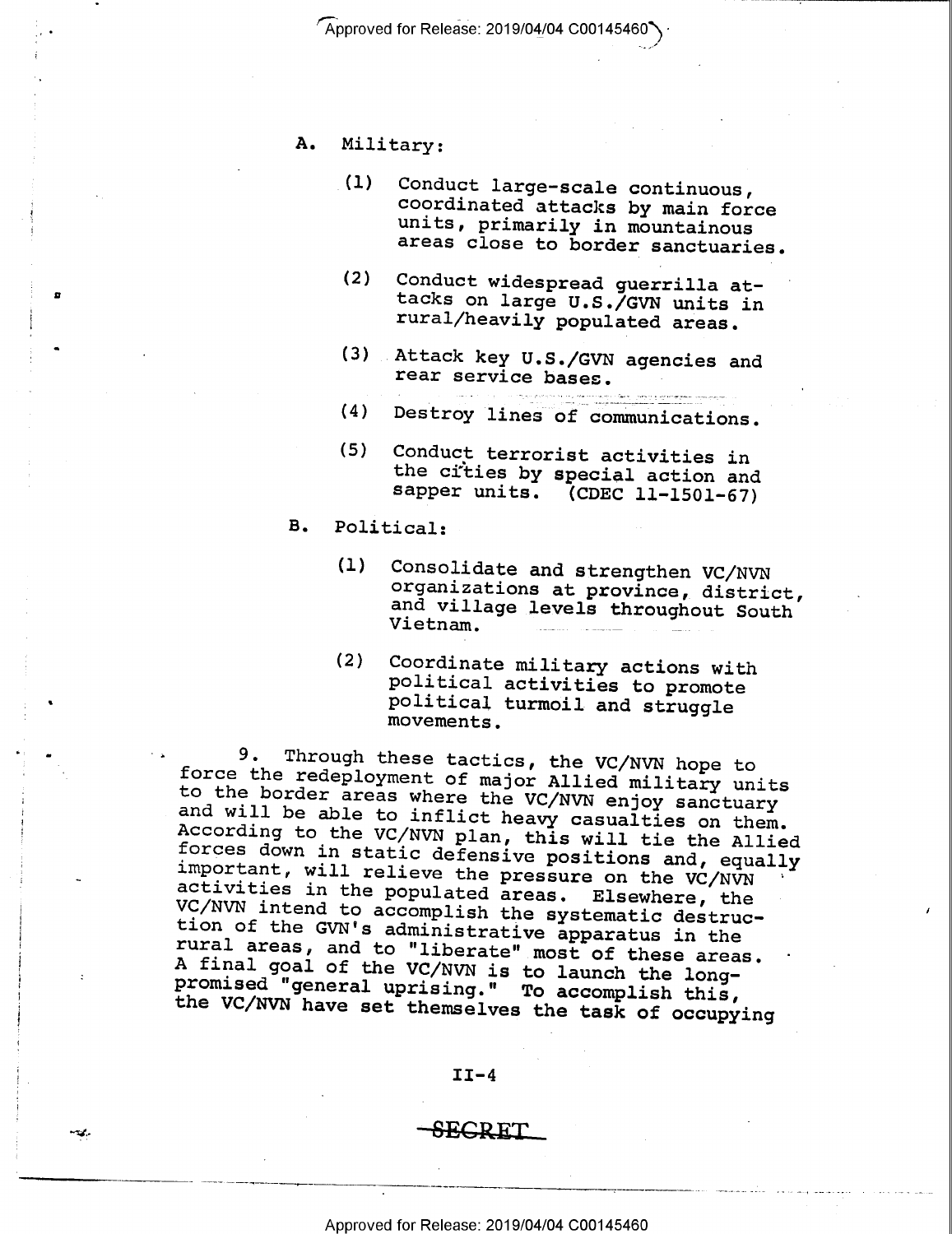Approved for Release: 2019/04/04 C00145460

- A. Military:
	- (l) Conduct large-scale continuous, coordinated attacks by main force units, primarily in mountainous areas close to border sanctuaries.
	- (2) Conduct widespread guerrilla at- tacks on large U.S./GVN units in rural/heavily populated areas.
	- (3) Attack key U.S./GVN agencies and rear service bases.
	- (4) Destroy lines of communications.
	- (5) Conduct terrorist activities in the cities by special action and sapper units. (CDEC ll-1501-67)
- B. Political:

 $\ddot{\phantom{0}}$ 

ø

- -

- (1) Consolidate and strengthen VC/NVN organizations at province, district, and village levels throughout South Vietnam.
- (2) Coordinate military actions with political activities to promote political turmoil and struggle movements.

9. Through these tactics, the VC/NVN hope to<br>force the redeployment of major Allied military units<br>to the border areas where the VC/NVN enjoy sanctuary<br>and will be able to inflict heavy casualties on them.<br>According to th

#### $II-4$

## $\sim$  SECRET

.\_\_-- \_.\_..~\_~\_ ; \_. .—\_\_-V- . W. , <sup>V</sup>'-'~ A '"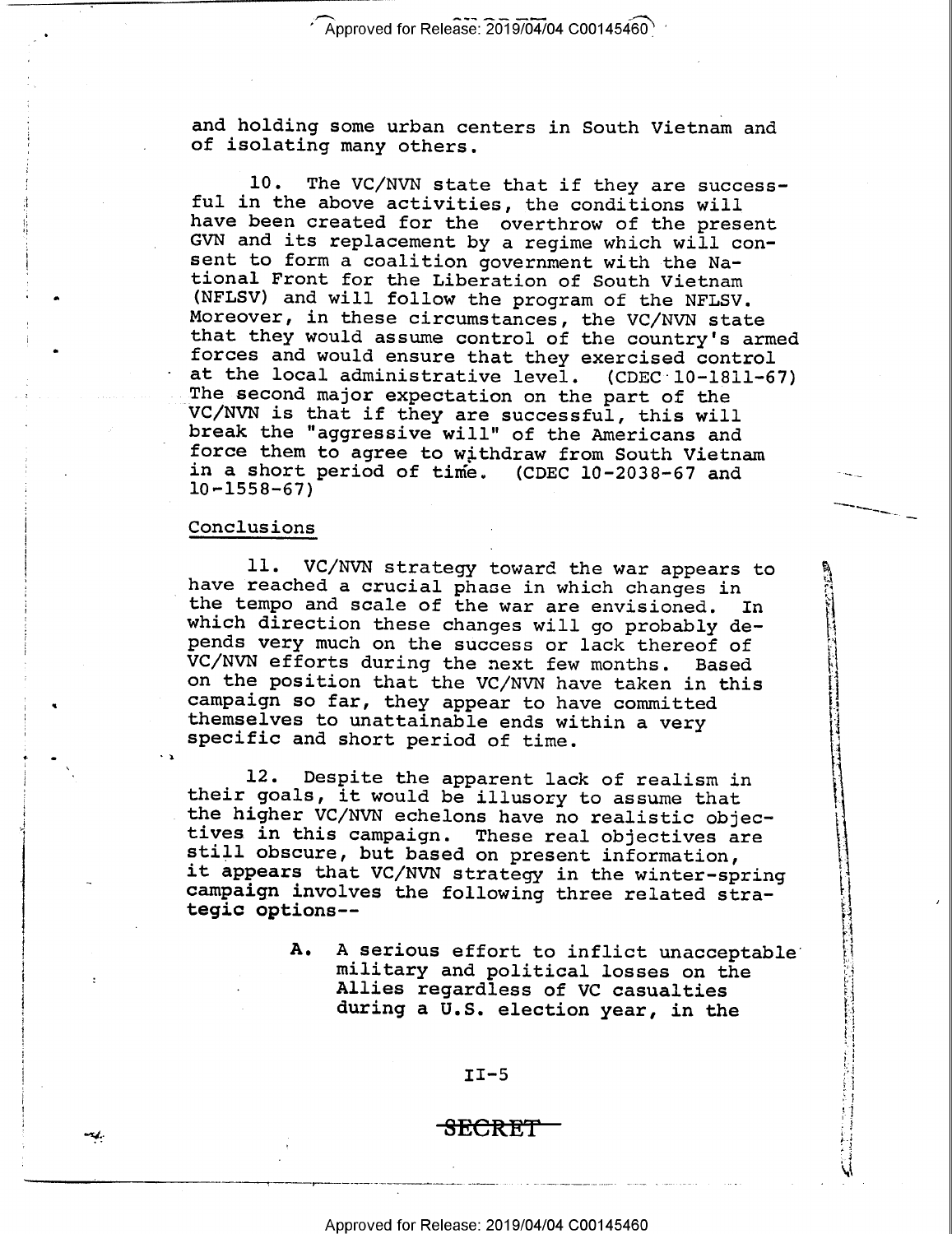and holding some urban centers in South Vietnam and of isolating many others.

10. The VC/NVN state that if they are success-<br>ful in the above activities, the conditions will<br>have been created for the overthrow of the present<br>GVN and its replacement by a regime which will con-<br>sent to form a coalitio at the local administrative level. (CDEC 10-1811-67)

"'~§\_\_M

 $\overline{\phantom{0}}$ 

Q  $\frac{M}{\Omega}$  .

> $\mathbf x$  $\sim$

> > ,1 fl

'. I. %

£1; --  $\ddot{\phantom{1}}$ 

,.,.-.i...:...a-'.».A..\_........--1--

#### Conclusions

۱ŗ.

f

1

i

I

 $\ddot{\phantom{0}}$ 

 $\bullet$  I is a set of  $\bullet$  is a set of  $\bullet$  is a set of  $\bullet$  is a set of  $\bullet$  is a set of  $\bullet$ 

I-GLJ1.

' A

0

11. VC/NVN strategy toward the war appears to<br>have reached a crucial phase in which changes in<br>the tempo and scale of the war are envisioned. In<br>which direction these changes will go probably de-<br>pends very much on the suc

12. Despite the apparent lack of realism in<br>their goals, it would be illusory to assume that<br>the higher VC/NVN echelons have no realistic objec-<br>tives in this campaign. These real objectives are<br>still obscure, but based on

A. A serious effort to inflict unacceptable<br>military and political losses on the<br>Allies regardless of VC casualties<br>during a U.S. election year, in the

 $II-5$ 

# -SECRET

j<del>es value la super</del>son nominale <del>de la super</del>son nominale con la cardinale del campanha con la cardina (con la c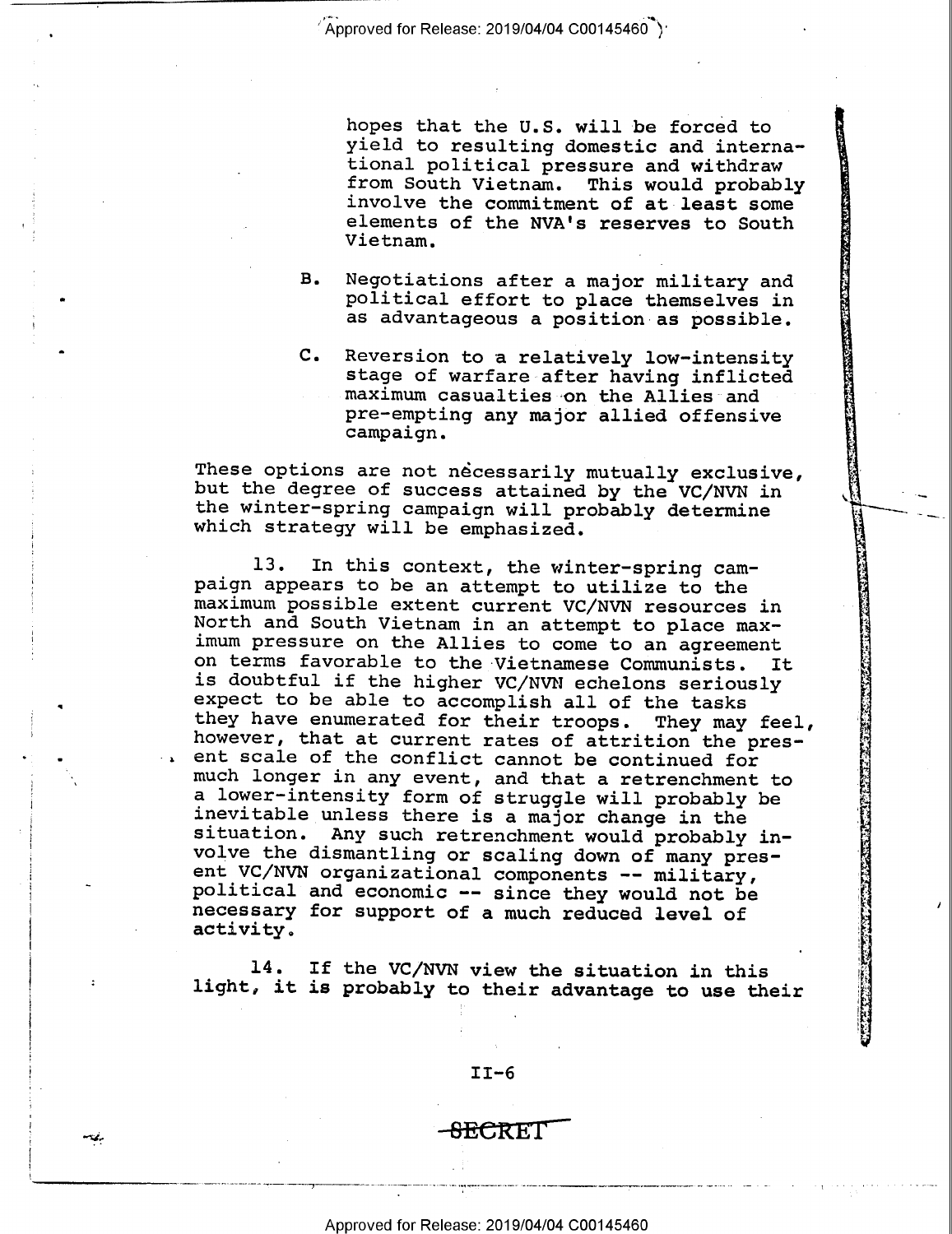$^{\circ}$  Approved for Release: 2019/04/04 C00145460  $^{\circ}$ ) $^{\circ}$ 

hopes that the U.S. will be forced to<br>yield to resulting domestic and interna-<br>tional political pressure and withdraw<br>from South Vietnam. This would probably<br>involve the commitment of at least some<br>elements of the NVA's re

P 1 'I~ -. .1

> %' रे|

¢ ,  $\sim$   $\,$ 

> '1 5

.-

.  $\cdot$  . '4  $"$   $\epsilon$ 

.;';.

كسط كالحادث بتعيلات بالمنبي والمناد المناد السابق

,':'~:,1V,(\_§,;;~,.\_»,r~\\_;;~a3fG€'.

 $\blacksquare$ 

- B. Negotiations after a major military and political effort to place themselves in as advantageous a position as possible.
- C. Reversion to a relatively low-intensity stage of warfare-after having inflicted maximum casualties on the Allies and pre-empting any major allied offensive campaign.

These options are not necessarily mutually exclusive, but the degree of success attained by the VC/NVN in the winter-spring campaign will probably determine which strategy will be emphasized.

13. In this context, the winter-spring cam-<br>paign appears to be an attempt to utilize to the<br>maximum possible extent current VC/NVN resources in<br>North and South Vietnam in an attempt to place max-<br>imum pressure on the Alli

14. If the VC/NVN view the situation in this light, it is probably to their advantage to use their

II—6

<del>SEC</del>RET

7-\_-. -~------4 \_.-— -\_-\_-7—----\_-\_\_~ -- -»--\_---\_--\_.-Y--. ~-> ...-..-------~-- ~~'—----?\_\_'-~—--—.--—»~—---—- » --— ~- <sup>~</sup>

iI

"Kl.-

u III dina masuka kacamatan ing kacamatan ing kacamatan ing kacamatan ing kacamatan ing kacamatan ing kacamatan ing kacamatan ing kacamatan ing kacamatan ing kacamatan ing kacamatan ing kacamatan ing kacamatan ing kacamata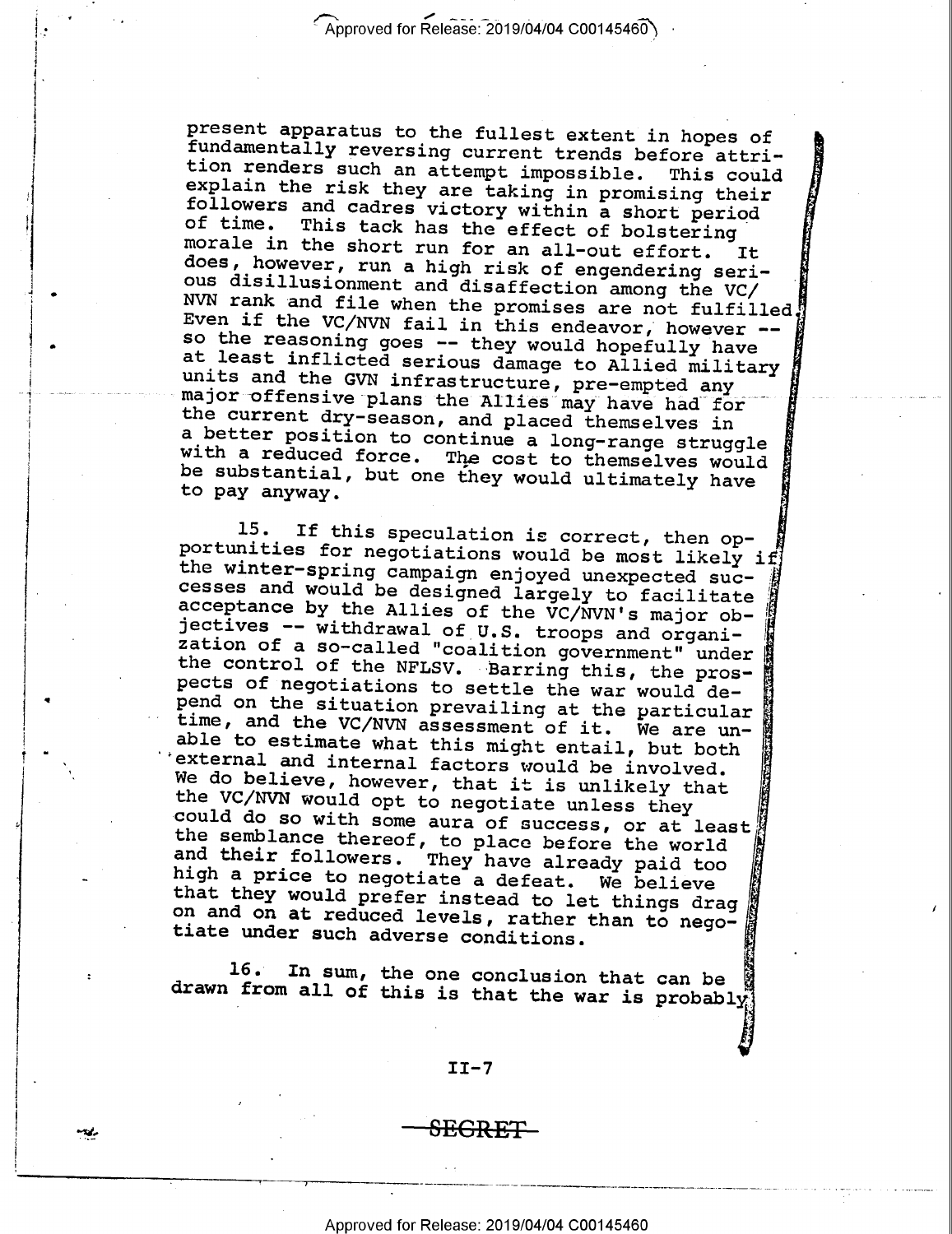present apparatus to the fullest extent in hopes of<br>fundamentally reversing current trends before attri-<br>tion renders such an attempt impossible. This could<br>explain the risk they are taking in promising their<br>followers and units and the GVN infrastructure, pre-empted any major offensive plans the Allies may have had for<br>the current dry-season, and placed themselves in major offensive plans the Allies may have had for a better position to continue a long-range struggle<br>with a reduced force. The cost to themselves would<br>be substantial, but one they would ultimately have<br>to pay anyway. 'A M  $-$ 4 M, ,, '  $\mathbf{r}$ 

 $\cdot$  .

 $\cdot$ 

 $\cdots$ 

"€"¢F.II';

able to estimate what this might entail, but both external and internal factors would be involved. 15. If this speculation is correct, then op-<br>portunities for negotiations would be most likely if<br>the winter-spring campaign enjoyed unexpected suc-<br>cesses and would be designed largely to facilitate<br>acceptance by the Alli "\*4, 65-=5,  $\cdots$ We do believe, however, that it is unlikely that<br>the VC/NVN would opt to negotiate unless they could do so with some aura of success, or at least<br>the semblance thereof, to place before the world and their followers. They have already paid too<br>high a price to negotiate a defeat. We believe<br>that they would prefer instead to let things drag on and on at reduced levels, rather than to nego-<br>tiate under such adverse conditions.  $\cdots$ 

16. In sum, the one conclusion that can be drawn from all of this is that the war is probably

#### II-7

<del>SEGRET</del>

Approved for Release: 2019/04/04 C00145460

, 7 \_ \_\_ \_\_\_-.\_.\_ \_\_ » -- \_- \_ \_ --~----<-~—-—i-~— ~~~-~-——— —' --— - ' T"

'

i

35'

 $\bullet$ 

'E O

4

 $\;$ 

 $\ddot{\phantom{0}}$ 

T .

i